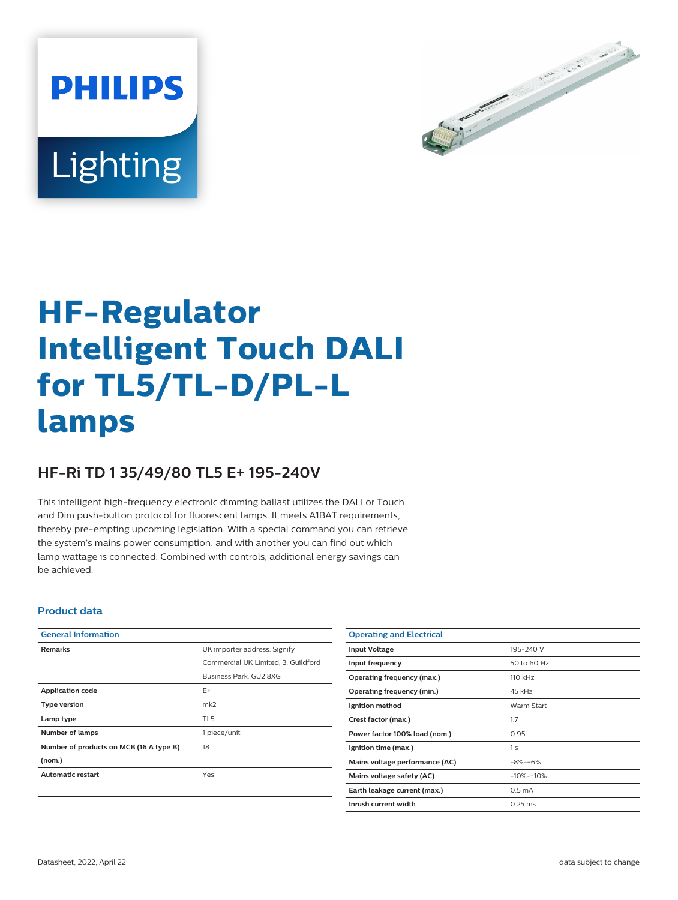



# **HF-Regulator Intelligent Touch DALI for TL5/TL-D/PL-L lamps**

## **HF-Ri TD 1 35/49/80 TL5 E+ 195-240V**

This intelligent high-frequency electronic dimming ballast utilizes the DALI or Touch and Dim push-button protocol for fluorescent lamps. It meets A1BAT requirements, thereby pre-empting upcoming legislation. With a special command you can retrieve the system's mains power consumption, and with another you can find out which lamp wattage is connected. Combined with controls, additional energy savings can be achieved.

#### **Product data**

| <b>General Information</b>              |                                     |  |  |  |
|-----------------------------------------|-------------------------------------|--|--|--|
| <b>Remarks</b>                          | UK importer address: Signify        |  |  |  |
|                                         | Commercial UK Limited, 3, Guildford |  |  |  |
|                                         | Business Park, GU2 8XG              |  |  |  |
| <b>Application code</b>                 | $F+$                                |  |  |  |
| <b>Type version</b>                     | mk2                                 |  |  |  |
| Lamp type                               | TL <sub>5</sub>                     |  |  |  |
| Number of lamps                         | 1 piece/unit                        |  |  |  |
| Number of products on MCB (16 A type B) | 18                                  |  |  |  |
| (nom.)                                  |                                     |  |  |  |
| <b>Automatic restart</b>                | Yes                                 |  |  |  |

| <b>Operating and Electrical</b> |                    |
|---------------------------------|--------------------|
| <b>Input Voltage</b>            | 195-240 V          |
| Input frequency                 | 50 to 60 Hz        |
| Operating frequency (max.)      | 110 kHz            |
| Operating frequency (min.)      | 45 kHz             |
| Ignition method                 | Warm Start         |
| Crest factor (max.)             | 1.7                |
| Power factor 100% load (nom.)   | 0.95               |
| Ignition time (max.)            | 1 <sub>s</sub>     |
| Mains voltage performance (AC)  | $-8% - +6%$        |
| Mains voltage safety (AC)       | $-10% -10%$        |
| Earth leakage current (max.)    | 0.5 <sub>m</sub> A |
| Inrush current width            | $0.25$ ms          |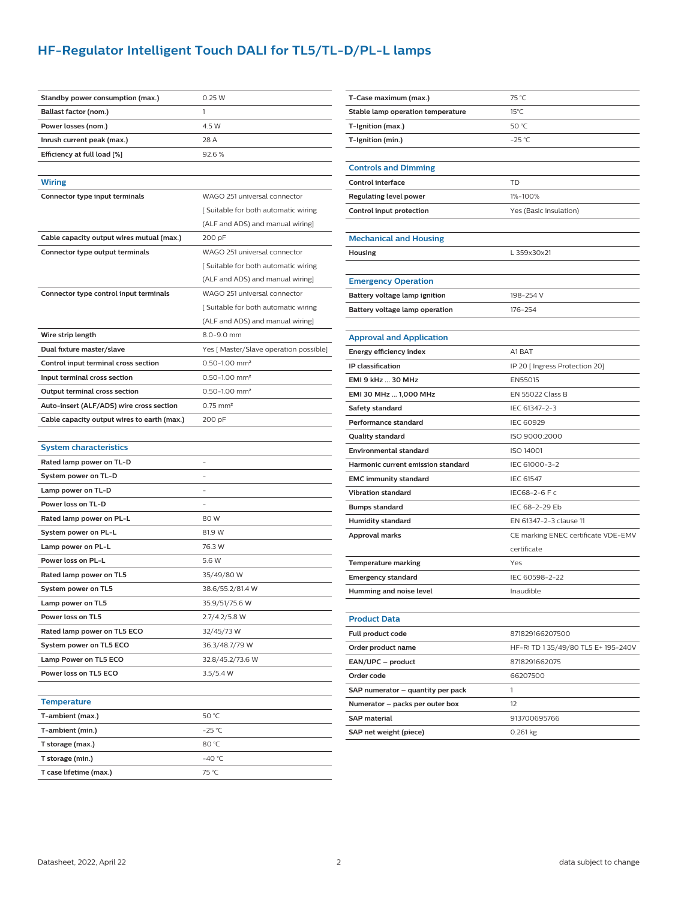## **HF-Regulator Intelligent Touch DALI for TL5/TL-D/PL-L lamps**

| Standby power consumption (max.)            | 0.25W                                  |  |  |  |
|---------------------------------------------|----------------------------------------|--|--|--|
| Ballast factor (nom.)                       | 1                                      |  |  |  |
| Power losses (nom.)                         | 4.5 W                                  |  |  |  |
| Inrush current peak (max.)                  | 28 A                                   |  |  |  |
| Efficiency at full load [%]                 | 92.6%                                  |  |  |  |
|                                             |                                        |  |  |  |
| <b>Wiring</b>                               |                                        |  |  |  |
| Connector type input terminals              | WAGO 251 universal connector           |  |  |  |
|                                             | [Suitable for both automatic wiring    |  |  |  |
|                                             | (ALF and ADS) and manual wiring]       |  |  |  |
| Cable capacity output wires mutual (max.)   | 200 pF                                 |  |  |  |
| Connector type output terminals             | WAGO 251 universal connector           |  |  |  |
|                                             | [Suitable for both automatic wiring    |  |  |  |
|                                             | (ALF and ADS) and manual wiring]       |  |  |  |
| Connector type control input terminals      | WAGO 251 universal connector           |  |  |  |
|                                             | Suitable for both automatic wiring     |  |  |  |
|                                             | (ALF and ADS) and manual wiring]       |  |  |  |
| Wire strip length                           | 8.0-9.0 mm                             |  |  |  |
| Dual fixture master/slave                   | Yes [ Master/Slave operation possible] |  |  |  |
| Control input terminal cross section        | $0.50 - 1.00$ mm <sup>2</sup>          |  |  |  |
| Input terminal cross section                | $0.50 - 1.00$ mm <sup>2</sup>          |  |  |  |
| Output terminal cross section               | $0.50 - 1.00$ mm <sup>2</sup>          |  |  |  |
| Auto-insert (ALF/ADS) wire cross section    | $0.75$ mm <sup>2</sup>                 |  |  |  |
| Cable capacity output wires to earth (max.) | 200 pF                                 |  |  |  |
|                                             |                                        |  |  |  |
| System characteristics                      |                                        |  |  |  |
| Rated lamp power on TL-D                    |                                        |  |  |  |
| System power on TL-D                        |                                        |  |  |  |
| Lamp power on TL-D                          |                                        |  |  |  |
| Power loss on TL-D                          |                                        |  |  |  |
| Rated lamp power on PL-L                    | 80 W                                   |  |  |  |
| System power on PL-L                        | 81.9 W                                 |  |  |  |
| Lamp power on PL-L                          | 76.3 W                                 |  |  |  |
| Power loss on PL-L                          | 5.6 W                                  |  |  |  |
| Rated lamp power on TL5                     | 35/49/80 W                             |  |  |  |
| System power on TL5                         | 38.6/55.2/81.4 W                       |  |  |  |
| Lamp power on TL5                           | 35.9/51/75.6 W                         |  |  |  |
| Power loss on TL5                           | 2.7/4.2/5.8 W                          |  |  |  |
| Rated lamp power on TL5 ECO                 | 32/45/73 W                             |  |  |  |
| System power on TL5 ECO                     | 36.3/48.7/79 W                         |  |  |  |
| Lamp Power on TL5 ECO                       | 32.8/45.2/73.6 W                       |  |  |  |
| Power loss on TL5 ECO                       | 3.5/5.4 W                              |  |  |  |
|                                             |                                        |  |  |  |
| <b>Temperature</b>                          |                                        |  |  |  |
| T-ambient (max.)                            | 50 °C                                  |  |  |  |
| T-ambient (min.)                            | $-25$ °C                               |  |  |  |
| T storage (max.)                            | 80 °C                                  |  |  |  |
| T storage (min.)                            | -40 °C                                 |  |  |  |
| T case lifetime (max.)                      | 75 °C                                  |  |  |  |

| T-Case maximum (max.)              | 75 °C                               |  |  |  |
|------------------------------------|-------------------------------------|--|--|--|
| Stable lamp operation temperature  | $15^{\circ}$ C                      |  |  |  |
| T-Ignition (max.)                  | 50 °C                               |  |  |  |
| T-Ignition (min.)                  | $-25$ °C                            |  |  |  |
|                                    |                                     |  |  |  |
| <b>Controls and Dimming</b>        |                                     |  |  |  |
| <b>Control interface</b>           | TD                                  |  |  |  |
| Regulating level power             | 1%-100%                             |  |  |  |
| Control input protection           | Yes (Basic insulation)              |  |  |  |
|                                    |                                     |  |  |  |
| <b>Mechanical and Housing</b>      |                                     |  |  |  |
| Housing                            | L 359x30x21                         |  |  |  |
|                                    |                                     |  |  |  |
| <b>Emergency Operation</b>         |                                     |  |  |  |
| Battery voltage lamp ignition      | 198-254 V                           |  |  |  |
| Battery voltage lamp operation     | 176-254                             |  |  |  |
|                                    |                                     |  |  |  |
| <b>Approval and Application</b>    |                                     |  |  |  |
| Energy efficiency index            | A1 BAT                              |  |  |  |
| IP classification                  | IP 20 [ Ingress Protection 20]      |  |  |  |
| EMI 9 kHz  30 MHz                  | EN55015                             |  |  |  |
| EMI 30 MHz  1,000 MHz              | EN 55022 Class B                    |  |  |  |
| Safety standard                    | IEC 61347-2-3                       |  |  |  |
| Performance standard               | <b>IEC 60929</b>                    |  |  |  |
| Quality standard                   | ISO 9000:2000                       |  |  |  |
| <b>Environmental standard</b>      | ISO 14001                           |  |  |  |
| Harmonic current emission standard | IEC 61000-3-2                       |  |  |  |
| <b>EMC immunity standard</b>       | <b>IEC 61547</b>                    |  |  |  |
| <b>Vibration standard</b>          | IEC68-2-6 F c                       |  |  |  |
| Bumps standard                     | IEC 68-2-29 Eb                      |  |  |  |
| Humidity standard                  | EN 61347-2-3 clause 11              |  |  |  |
| Approval marks                     | CE marking ENEC certificate VDE-EMV |  |  |  |
|                                    | certificate                         |  |  |  |
| <b>Temperature marking</b>         | Yes                                 |  |  |  |
| <b>Emergency standard</b>          | IEC 60598-2-22                      |  |  |  |
| Humming and noise level            | Inaudible                           |  |  |  |
|                                    |                                     |  |  |  |
| <b>Product Data</b>                |                                     |  |  |  |
| Full product code                  | 871829166207500                     |  |  |  |
| Order product name                 | HF-Ri TD 1 35/49/80 TL5 E+ 195-240V |  |  |  |
| EAN/UPC - product                  | 8718291662075                       |  |  |  |
| Order code                         | 66207500                            |  |  |  |
| SAP numerator - quantity per pack  | 1                                   |  |  |  |
| Numerator - packs per outer box    | 12                                  |  |  |  |
| <b>SAP</b> material                | 913700695766                        |  |  |  |
| SAP net weight (piece)             | $0.261$ kg                          |  |  |  |